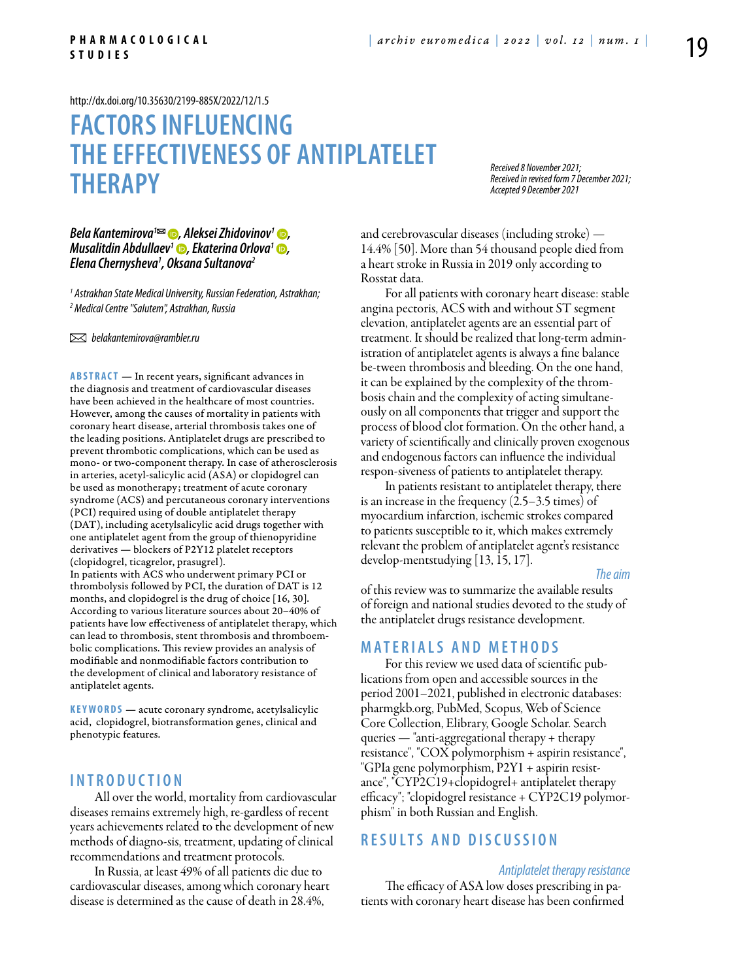<http://dx.doi.org/10.35630/2199-885X/2022/12/1.5>

# **Factors influencing the effectiveness of antiplatelet therapy**

*Received 8 November 2021; Received in revised form 7 December 2021; Accepted 9 December 2021*

## *[Bela Kantemirova](https://orcid.org/0000-0003-3278-2556)<sup>1</sup><sup>22</sup> (∂</sup>, Aleksei Zhidovinov<sup>1</sup> ⊙, Musalitdin Abdullaev<sup>1</sup> •, Ekaterina Orlova<sup>1</sup> •, Elena Chernysheva1 , Oksana Sultanova2*

*1 Astrakhan State Medical University, Russian Federation, Astrakhan; 2 Medical Centre "Salutem", Astrakhan, Russia*

 *belakantemirova@rambler.ru* 

**ABSTRACT** — In recent years, significant advances in the diagnosis and treatment of cardiovascular diseases have been achieved in the healthcare of most countries. However, among the causes of mortality in patients with coronary heart disease, arterial thrombosis takes one of the leading positions. Antiplatelet drugs are prescribed to prevent thrombotic complications, which can be used as mono- or two-component therapy. In case of atherosclerosis in arteries, acetyl-salicylic acid (ASA) or clopidogrel can be used as monotherapy; treatment of acute coronary syndrome (ACS) and percutaneous coronary interventions (PCI) required using of double antiplatelet therapy (DAT), including acetylsalicylic acid drugs together with one antiplatelet agent from the group of thienopyridine derivatives — blockers of P2Y12 platelet receptors (clopidogrel, ticagrelor, prasugrel).

In patients with ACS who underwent primary PCI or thrombolysis followed by PCI, the duration of DAT is 12 months, and clopidogrel is the drug of choice [16, 30]. According to various literature sources about 20–40% of patients have low effectiveness of antiplatelet therapy, which can lead to thrombosis, stent thrombosis and thromboembolic complications. This review provides an analysis of modifiable and nonmodifiable factors contribution to the development of clinical and laboratory resistance of antiplatelet agents.

**KEYWORDS** — acute coronary syndrome, acetylsalicylic acid, clopidogrel, biotransformation genes, clinical and phenotypic features.

#### **I n t r o d u ct i o n**

All over the world, mortality from cardiovascular diseases remains extremely high, re-gardless of recent years achievements related to the development of new methods of diagno-sis, treatment, updating of clinical recommendations and treatment protocols.

In Russia, at least 49% of all patients die due to cardiovascular diseases, among which coronary heart disease is determined as the cause of death in 28.4%,

and cerebrovascular diseases (including stroke) — 14.4% [50]. More than 54 thousand people died from a heart stroke in Russia in 2019 only according to Rosstat data.

For all patients with coronary heart disease: stable angina pectoris, ACS with and without ST segment elevation, antiplatelet agents are an essential part of treatment. It should be realized that long-term administration of antiplatelet agents is always a fine balance be-tween thrombosis and bleeding. On the one hand, it can be explained by the complexity of the thrombosis chain and the complexity of acting simultaneously on all components that trigger and support the process of blood clot formation. On the other hand, a variety of scientifically and clinically proven exogenous and endogenous factors can influence the individual respon-siveness of patients to antiplatelet therapy.

In patients resistant to antiplatelet therapy, there is an increase in the frequency (2.5–3.5 times) of myocardium infarction, ischemic strokes compared to patients susceptible to it, which makes extremely relevant the problem of antiplatelet agent's resistance develop-mentstudying [13, 15, 17].

*The aim* 

of this review was to summarize the available results of foreign and national studies devoted to the study of the antiplatelet drugs resistance development.

## **MATERIALS AND METHODS**

For this review we used data of scientific publications from open and accessible sources in the period 2001–2021, published in electronic databases: pharmgkb.org, PubMed, Scopus, Web of Science Core Collection, Elibrary, Google Scholar. Search queries — "anti-aggregational therapy + therapy resistance", "COX polymorphism + aspirin resistance", "GPIa gene polymorphism, P2Y1 + aspirin resistance", "CYP2C19+clopidogrel+ antiplatelet therapy efficacy"; "clopidogrel resistance + CYP2C19 polymorphism" in both Russian and English.

# **RESULTS AND DISC USSION**

#### *Antiplatelet therapy resistance*

The efficacy of ASA low doses prescribing in patients with coronary heart disease has been confirmed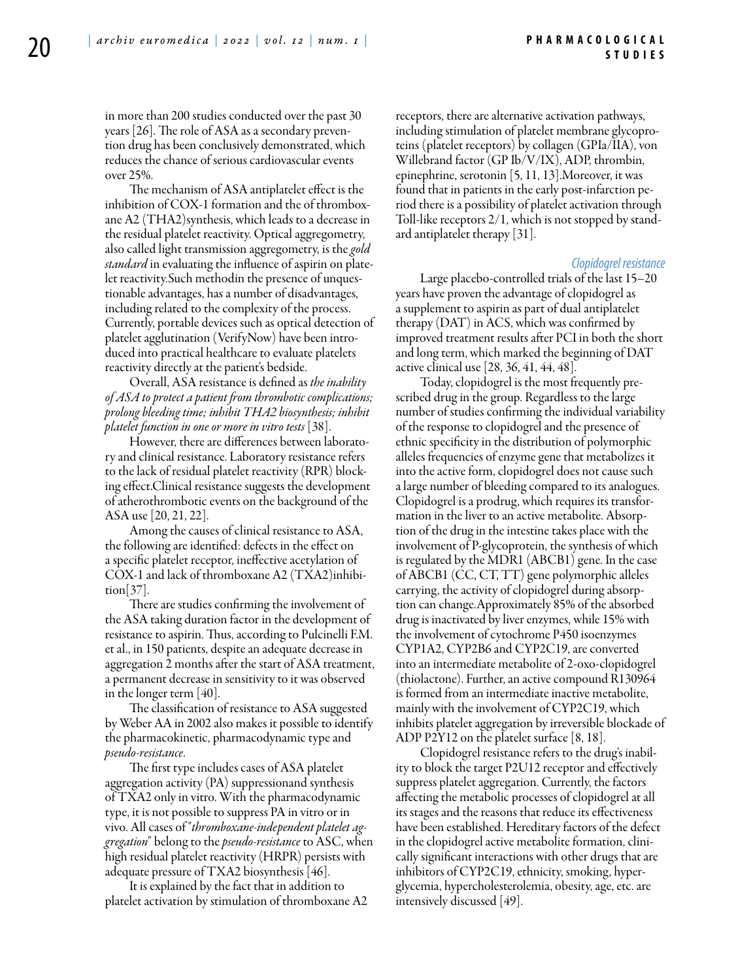in more than 200 studies conducted over the past 30 years [26]. The role of ASA as a secondary prevention drug has been conclusively demonstrated, which reduces the chance of serious cardiovascular events over 25%.

The mechanism of ASA antiplatelet effect is the inhibition of COX-1 formation and the of thromboxane A2 (THA2)synthesis, which leads to a decrease in the residual platelet reactivity. Optical aggregometry, also called light transmission aggregometry, is the *gold standard* in evaluating the influence of aspirin on platelet reactivity.Such methodin the presence of unquestionable advantages, has a number of disadvantages, including related to the complexity of the process. Currently, portable devices such as optical detection of platelet agglutination (VerifyNow) have been introduced into practical healthcare to evaluate platelets reactivity directly at the patient's bedside.

Overall, ASA resistance is defined as *the inability of ASA to protect a patient from thrombotic complications; prolong bleeding time; inhibit THA2 biosynthesis; inhibit platelet function in one or more in vitro tests* [38].

However, there are differences between laboratory and clinical resistance. Laboratory resistance refers to the lack of residual platelet reactivity (RPR) blocking effect.Clinical resistance suggests the development of atherothrombotic events on the background of the ASA use [20, 21, 22].

Among the causes of clinical resistance to ASA, the following are identified: defects in the effect on a specific platelet receptor, ineffective acetylation of COX-1 and lack of thromboxane A2 (TXA2)inhibition[37].

There are studies confirming the involvement of the ASA taking duration factor in the development of resistance to aspirin. Thus, according to Pulcinelli F.M. et al., in 150 patients, despite an adequate decrease in aggregation 2 months after the start of ASA treatment, a permanent decrease in sensitivity to it was observed in the longer term [40].

The classification of resistance to ASA suggested by Weber AA in 2002 also makes it possible to identify the pharmacokinetic, pharmacodynamic type and *pseudo-resistance*.

The first type includes cases of ASA platelet aggregation activity (PA) suppressionand synthesis of TXA2 only in vitro. With the pharmacodynamic type, it is not possible to suppress PA in vitro or in vivo. All cases of "*thromboxane-independent platelet aggregation*" belong to the *pseudo-resistance* to ASC, when high residual platelet reactivity (HRPR) persists with adequate pressure of TXA2 biosynthesis [46].

It is explained by the fact that in addition to platelet activation by stimulation of thromboxane A2 receptors, there are alternative activation pathways, including stimulation of platelet membrane glycoproteins (platelet receptors) by collagen (GPIa/IIA), von Willebrand factor (GP Ib/V/IX), ADP, thrombin, epinephrine, serotonin [5, 11, 13].Moreover, it was found that in patients in the early post-infarction period there is a possibility of platelet activation through Toll-like receptors 2/1, which is not stopped by standard antiplatelet therapy [31].

#### *Clopidogrel resistance*

Large placebo-controlled trials of the last 15–20 years have proven the advantage of clopidogrel as a supplement to aspirin as part of dual antiplatelet therapy (DAT) in ACS, which was confirmed by improved treatment results after PCI in both the short and long term, which marked the beginning of DAT active clinical use [28, 36, 41, 44, 48].

Today, clopidogrel is the most frequently prescribed drug in the group. Regardless to the large number of studies confirming the individual variability of the response to clopidogrel and the presence of ethnic specificity in the distribution of polymorphic alleles frequencies of enzyme gene that metabolizes it into the active form, clopidogrel does not cause such a large number of bleeding compared to its analogues. Clopidogrel is a prodrug, which requires its transformation in the liver to an active metabolite. Absorption of the drug in the intestine takes place with the involvement of P-glycoprotein, the synthesis of which is regulated by the MDR1 (ABCB1) gene. In the case of ABCB1 (CC, CT, TT) gene polymorphic alleles carrying, the activity of clopidogrel during absorption can change.Approximately 85% of the absorbed drug is inactivated by liver enzymes, while 15% with the involvement of cytochrome P450 isoenzymes CYP1A2, CYP2B6 and CYP2C19, are converted into an intermediate metabolite of 2-oxo-clopidogrel (thiolactone). Further, an active compound R130964 is formed from an intermediate inactive metabolite, mainly with the involvement of CYP2C19, which inhibits platelet aggregation by irreversible blockade of ADP P2Y12 on the platelet surface [8, 18].

Clopidogrel resistance refers to the drug's inability to block the target P2U12 receptor and effectively suppress platelet aggregation. Currently, the factors affecting the metabolic processes of clopidogrel at all its stages and the reasons that reduce its effectiveness have been established. Hereditary factors of the defect in the clopidogrel active metabolite formation, clinically significant interactions with other drugs that are inhibitors of CYP2C19, ethnicity, smoking, hyperglycemia, hypercholesterolemia, obesity, age, etc. are intensively discussed [49].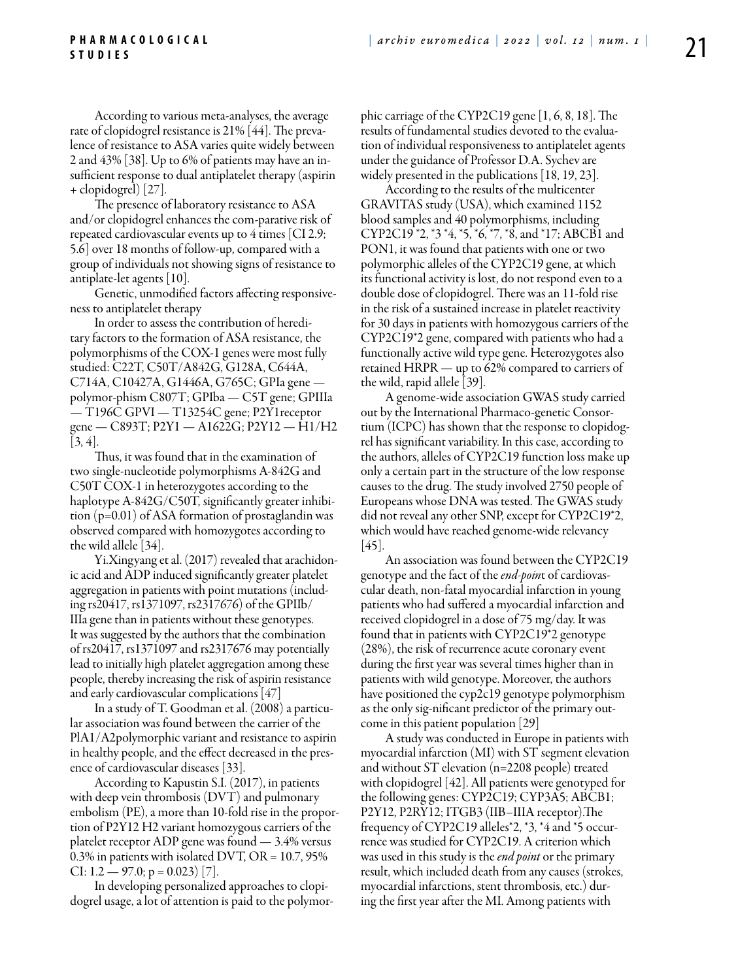According to various meta-analyses, the average rate of clopidogrel resistance is 21% [44]. The prevalence of resistance to ASA varies quite widely between 2 and 43% [38]. Up to 6% of patients may have an insufficient response to dual antiplatelet therapy (aspirin + clopidogrel) [27].

The presence of laboratory resistance to ASA and/or clopidogrel enhances the com-parative risk of repeated cardiovascular events up to 4 times [CI 2.9; 5.6] over 18 months of follow-up, compared with a group of individuals not showing signs of resistance to antiplate-let agents [10].

Genetic, unmodified factors affecting responsiveness to antiplatelet therapy

In order to assess the contribution of hereditary factors to the formation of ASA resistance, the polymorphisms of the COX-1 genes were most fully studied: C22T, C50T/A842G, G128A, C644A, C714A, C10427A, G1446A, G765C; GPIa gene polymor-phism C807T; GPIba — C5T gene; GPIIIa — T196C GPVI — T13254C gene; P2Y1receptor gene — C893T; P2Y1 — A1622G; P2Y12 — H1/H2 [3, 4].

Thus, it was found that in the examination of two single-nucleotide polymorphisms A-842G and C50T COX-1 in heterozygotes according to the haplotype A-842G/C50T, significantly greater inhibition (p=0.01) of ASA formation of prostaglandin was observed compared with homozygotes according to the wild allele [34].

Yi.Xingyang et al. (2017) revealed that arachidonic acid and ADP induced significantly greater platelet aggregation in patients with point mutations (including rs20417, rs1371097, rs2317676) of the GPIIb/ IIIa gene than in patients without these genotypes. It was suggested by the authors that the combination of rs20417, rs1371097 and rs2317676 may potentially lead to initially high platelet aggregation among these people, thereby increasing the risk of aspirin resistance and early cardiovascular complications [47]

In a study of T. Goodman et al. (2008) a particular association was found between the carrier of the PlA1/A2polymorphic variant and resistance to aspirin in healthy people, and the effect decreased in the presence of cardiovascular diseases [33].

According to Kapustin S.I. (2017), in patients with deep vein thrombosis (DVT) and pulmonary embolism (PE), a more than 10-fold rise in the proportion of P2Y12 H2 variant homozygous carriers of the platelet receptor ADP gene was found — 3.4% versus 0.3% in patients with isolated DVT, OR = 10.7, 95% CI: 1.2 — 97.0; p = 0.023) [7].

In developing personalized approaches to clopidogrel usage, a lot of attention is paid to the polymorphic carriage of the CYP2C19 gene [1, 6, 8, 18]. The results of fundamental studies devoted to the evaluation of individual responsiveness to antiplatelet agents under the guidance of Professor D.A. Sychev are widely presented in the publications [18, 19, 23].

According to the results of the multicenter GRAVITAS study (USA), which examined 1152 blood samples and 40 polymorphisms, including CYP2C19 \*2, \*3 \*4, \*5, \*6, \*7, \*8, and \*17; ABCB1 and PON1, it was found that patients with one or two polymorphic alleles of the CYP2C19 gene, at which its functional activity is lost, do not respond even to a double dose of clopidogrel. There was an 11-fold rise in the risk of a sustained increase in platelet reactivity for 30 days in patients with homozygous carriers of the CYP2C19\*2 gene, compared with patients who had a functionally active wild type gene. Heterozygotes also retained HRPR — up to 62% compared to carriers of the wild, rapid allele [39].

A genome-wide association GWAS study carried out by the International Pharmaco-genetic Consortium (ICPC) has shown that the response to clopidogrel has significant variability. In this case, according to the authors, alleles of CYP2C19 function loss make up only a certain part in the structure of the low response causes to the drug. The study involved 2750 people of Europeans whose DNA was tested. The GWAS study did not reveal any other SNP, except for CYP2C19\*2, which would have reached genome-wide relevancy [45].

An association was found between the CYP2C19 genotype and the fact of the *end-poin*t of cardiovascular death, non-fatal myocardial infarction in young patients who had suffered a myocardial infarction and received clopidogrel in a dose of 75 mg/day. It was found that in patients with CYP2C19\*2 genotype (28%), the risk of recurrence acute coronary event during the first year was several times higher than in patients with wild genotype. Moreover, the authors have positioned the cyp2c19 genotype polymorphism as the only sig-nificant predictor of the primary outcome in this patient population [29]

A study was conducted in Europe in patients with myocardial infarction (MI) with ST segment elevation and without ST elevation (n=2208 people) treated with clopidogrel [42]. All patients were genotyped for the following genes: CYP2C19; CYP3A5; ABCB1; P2Y12, P2RY12; ITGB3 (IIB–IIIA receptor).The frequency of CYP2C19 alleles\*2, \*3, \*4 and \*5 occurrence was studied for CYP2C19. A criterion which was used in this study is the *end point* or the primary result, which included death from any causes (strokes, myocardial infarctions, stent thrombosis, etc.) during the first year after the MI. Among patients with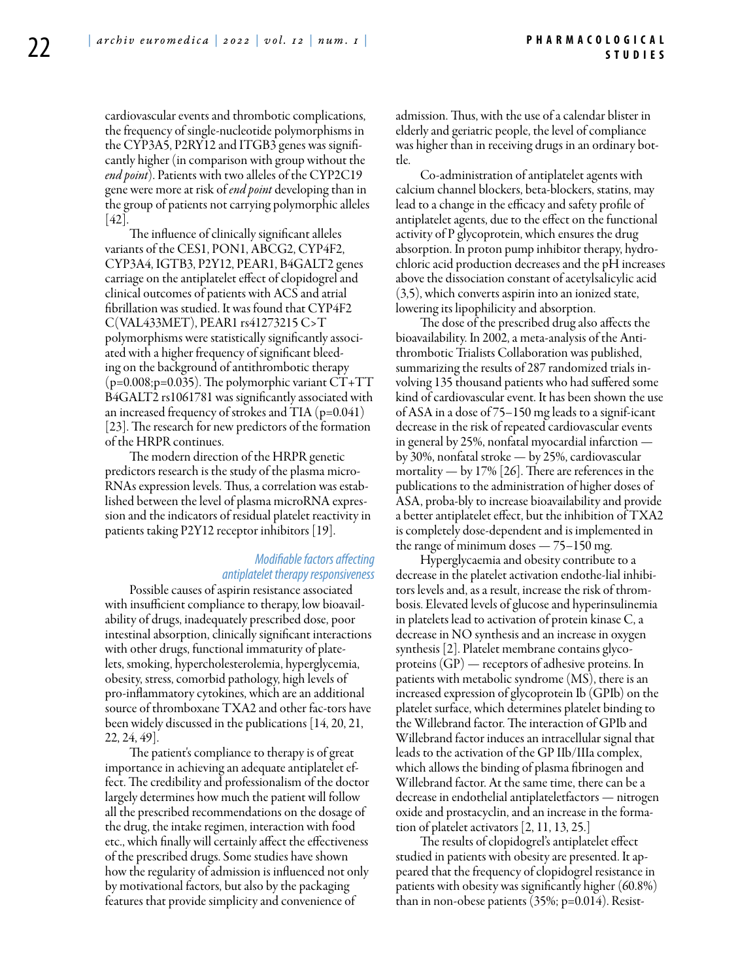cardiovascular events and thrombotic complications, the frequency of single-nucleotide polymorphisms in the CYP3A5, P2RY12 and ITGB3 genes was significantly higher (in comparison with group without the *end point*). Patients with two alleles of the CYP2C19 gene were more at risk of *end point* developing than in the group of patients not carrying polymorphic alleles  $[42]$ 

The influence of clinically significant alleles variants of the CES1, PON1, ABCG2, CYP4F2, CYP3A4, IGTB3, P2Y12, PEAR1, B4GALT2 genes carriage on the antiplatelet effect of clopidogrel and clinical outcomes of patients with ACS and atrial fibrillation was studied. It was found that CYP4F2 C(VAL433MET), PEAR1 rs41273215 C>T polymorphisms were statistically significantly associated with a higher frequency of significant bleeding on the background of antithrombotic therapy  $(p=0.008; p=0.035)$ . The polymorphic variant  $CT+TT$ B4GALT2 rs1061781 was significantly associated with an increased frequency of strokes and TIA  $(p=0.041)$ [23]. The research for new predictors of the formation of the HRPR continues.

The modern direction of the HRPR genetic predictors research is the study of the plasma micro-RNAs expression levels. Thus, a correlation was established between the level of plasma microRNA expression and the indicators of residual platelet reactivity in patients taking P2Y12 receptor inhibitors [19].

#### *Modifiable factors affecting antiplatelet therapy responsiveness*

Possible causes of aspirin resistance associated with insufficient compliance to therapy, low bioavailability of drugs, inadequately prescribed dose, poor intestinal absorption, clinically significant interactions with other drugs, functional immaturity of platelets, smoking, hypercholesterolemia, hyperglycemia, obesity, stress, comorbid pathology, high levels of pro-inflammatory cytokines, which are an additional source of thromboxane TXA2 and other fac-tors have been widely discussed in the publications [14, 20, 21, 22, 24, 49].

The patient's compliance to therapy is of great importance in achieving an adequate antiplatelet effect. The credibility and professionalism of the doctor largely determines how much the patient will follow all the prescribed recommendations on the dosage of the drug, the intake regimen, interaction with food etc., which finally will certainly affect the effectiveness of the prescribed drugs. Some studies have shown how the regularity of admission is influenced not only by motivational factors, but also by the packaging features that provide simplicity and convenience of

admission. Thus, with the use of a calendar blister in elderly and geriatric people, the level of compliance was higher than in receiving drugs in an ordinary bottle.

Co-administration of antiplatelet agents with calcium channel blockers, beta-blockers, statins, may lead to a change in the efficacy and safety profile of antiplatelet agents, due to the effect on the functional activity of P glycoprotein, which ensures the drug absorption. In proton pump inhibitor therapy, hydrochloric acid production decreases and the pH increases above the dissociation constant of acetylsalicylic acid (3,5), which converts aspirin into an ionized state, lowering its lipophilicity and absorption.

The dose of the prescribed drug also affects the bioavailability. In 2002, a meta-analysis of the Antithrombotic Trialists Collaboration was published, summarizing the results of 287 randomized trials involving 135 thousand patients who had suffered some kind of cardiovascular event. It has been shown the use of ASA in a dose of 75–150 mg leads to a signif-icant decrease in the risk of repeated cardiovascular events in general by 25%, nonfatal myocardial infarction by 30%, nonfatal stroke — by 25%, cardiovascular mortality — by 17% [26]. There are references in the publications to the administration of higher doses of ASA, proba-bly to increase bioavailability and provide a better antiplatelet effect, but the inhibition of TXA2 is completely dose-dependent and is implemented in the range of minimum doses — 75–150 mg.

Hyperglycaemia and obesity contribute to a decrease in the platelet activation endothe-lial inhibitors levels and, as a result, increase the risk of thrombosis. Elevated levels of glucose and hyperinsulinemia in platelets lead to activation of protein kinase C, a decrease in NO synthesis and an increase in oxygen synthesis [2]. Platelet membrane contains glycoproteins (GP) — receptors of adhesive proteins. In patients with metabolic syndrome (MS), there is an increased expression of glycoprotein Ib (GPIb) on the platelet surface, which determines platelet binding to the Willebrand factor. The interaction of GPIb and Willebrand factor induces an intracellular signal that leads to the activation of the GP IIb/IIIa complex, which allows the binding of plasma fibrinogen and Willebrand factor. At the same time, there can be a decrease in endothelial antiplateletfactors — nitrogen oxide and prostacyclin, and an increase in the formation of platelet activators [2, 11, 13, 25.]

The results of clopidogrel's antiplatelet effect studied in patients with obesity are presented. It appeared that the frequency of clopidogrel resistance in patients with obesity was significantly higher (60.8%) than in non-obese patients (35%; p=0.014). Resist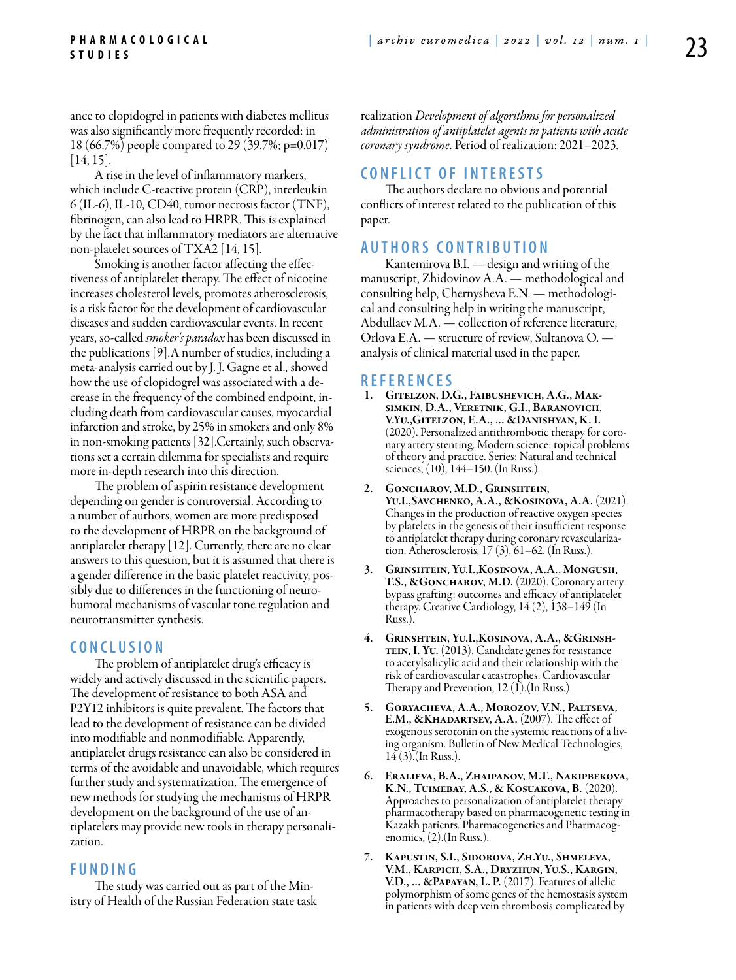ance to clopidogrel in patients with diabetes mellitus was also significantly more frequently recorded: in 18 (66.7%) people compared to 29 (39.7%; p=0.017) [14, 15].

A rise in the level of inflammatory markers, which include C-reactive protein (CRP), interleukin 6 (IL-6), IL-10, CD40, tumor necrosis factor (TNF), fibrinogen, can also lead to HRPR. This is explained by the fact that inflammatory mediators are alternative non-platelet sources of TXA2 [14, 15].

Smoking is another factor affecting the effectiveness of antiplatelet therapy. The effect of nicotine increases cholesterol levels, promotes atherosclerosis, is a risk factor for the development of cardiovascular diseases and sudden cardiovascular events. In recent years, so-called *smoker's paradox* has been discussed in the publications [9].A number of studies, including a meta-analysis carried out by J. J. Gagne et al., showed how the use of clopidogrel was associated with a decrease in the frequency of the combined endpoint, including death from cardiovascular causes, myocardial infarction and stroke, by 25% in smokers and only 8% in non-smoking patients [32].Certainly, such observations set a certain dilemma for specialists and require more in-depth research into this direction.

The problem of aspirin resistance development depending on gender is controversial. According to a number of authors, women are more predisposed to the development of HRPR on the background of antiplatelet therapy [12]. Currently, there are no clear answers to this question, but it is assumed that there is a gender difference in the basic platelet reactivity, possibly due to differences in the functioning of neurohumoral mechanisms of vascular tone regulation and neurotransmitter synthesis.

## **C o n cl u s i o n**

The problem of antiplatelet drug's efficacy is widely and actively discussed in the scientific papers. The development of resistance to both ASA and P2Y12 inhibitors is quite prevalent. The factors that lead to the development of resistance can be divided into modifiable and nonmodifiable. Apparently, antiplatelet drugs resistance can also be considered in terms of the avoidable and unavoidable, which requires further study and systematization. The emergence of new methods for studying the mechanisms of HRPR development on the background of the use of antiplatelets may provide new tools in therapy personalization.

## **FUNDING**

The study was carried out as part of the Ministry of Health of the Russian Federation state task realization *Development of algorithms for personalized administration of antiplatelet agents in patients with acute coronary syndrome*. Period of realization: 2021–2023.

## **C ONFLICT OF INTERESTS**

The authors declare no obvious and potential conflicts of interest related to the publication of this paper.

## **AUTHORS C ONTRIBUTION**

Kantemirova B.I. — design and writing of the manuscript, Zhidovinov A.A. — methodological and consulting help, Chernysheva E.N. — methodological and consulting help in writing the manuscript, Abdullaev M.A. — collection of reference literature, Orlova E.A. — structure of review, Sultanova O. analysis of clinical material used in the paper.

#### **R e f e r e n ce s**

- 1. Gitelzon, D.G., Faibushevich, A.G., Maksimkin, D.A., Veretnik, G.I., Baranovich, V.Yu.,Gitelzon, E.A., ... &Danishyan, K. I. (2020). Personalized antithrombotic therapy for coronary artery stenting. Modern science: topical problems of theory and practice. Series: Natural and technical sciences, (10), 144–150. (In Russ.).
- 2. Goncharov, M.D., Grinshtein, Yu.I.,Savchenko, A.A., &Kosinova, A.A. (2021). Changes in the production of reactive oxygen species by platelets in the genesis of their insufficient response to antiplatelet therapy during coronary revascularization. Atherosclerosis, 17 (3), 61–62. (In Russ.).
- 3. Grinshtein, Yu.I.,Kosinova, A.A., Mongush, T.S., &GONCHAROV, M.D. (2020). Coronary artery bypass grafting: outcomes and efficacy of antiplatelet therapy. Creative Cardiology, 14 (2), 138–149.(In Russ.
- 4. Grinshtein, Yu.I.,Kosinova, A.A., &Grinsh-TEIN, I. YU. (2013). Candidate genes for resistance to acetylsalicylic acid and their relationship with the risk of cardiovascular catastrophes. Cardiovascular Therapy and Prevention, 12  $(I)$ . (In Russ.).
- 5. Goryacheva, A.A., Morozov, V.N., Paltseva, E.M., &KHADARTSEV, A.A. (2007). The effect of exogenous serotonin on the systemic reactions of a living organism. Bulletin of New Medical Technologies, 14 (3).(In Russ.).
- 6. Eralieva, B.A., Zhaipanov, M.T., Nakipbekova, K.N., Tuimebay, A.S., & Kosuakova, B. (2020). Approaches to personalization of antiplatelet therapy pharmacotherapy based on pharmacogenetic testing in Kazakh patients. Pharmacogenetics and Pharmacogenomics, (2).(In Russ.).
- 7. Kapustin, S.I., Sidorova, Zh.Yu., Shmeleva, V.M., Karpich, S.A., Dryzhun, Yu.S., Kargin, V.D., ... &Papayan, L. P. (2017). Features of allelic polymorphism of some genes of the hemostasis system in patients with deep vein thrombosis complicated by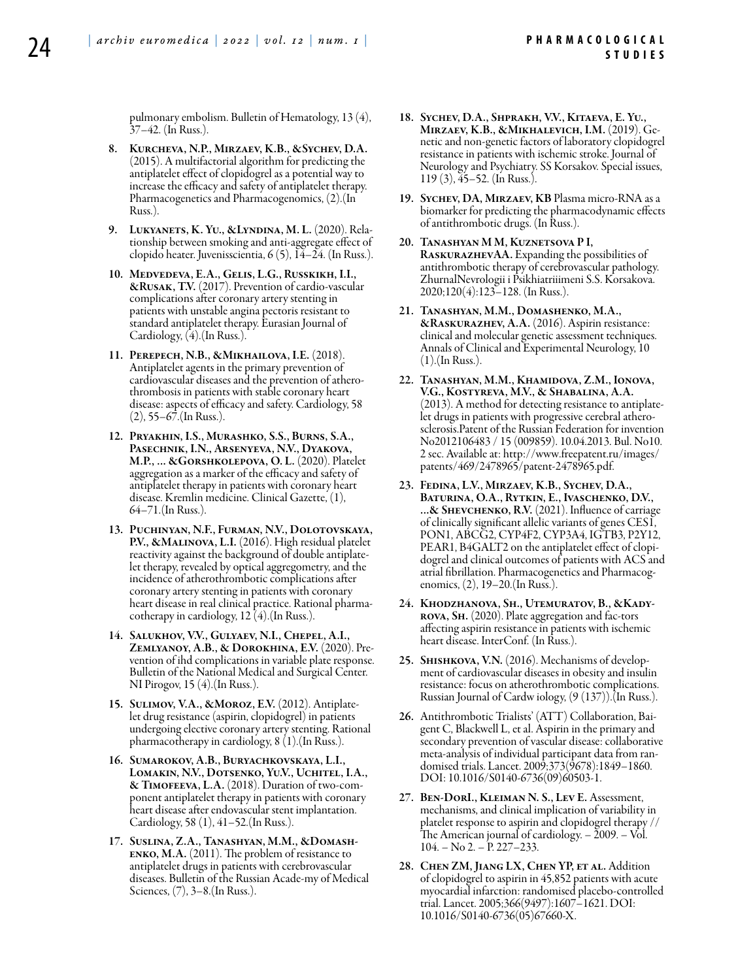pulmonary embolism. Bulletin of Hematology, 13 (4), 37–42. (In Russ.).

- 8. Kurcheva, N.P., Mirzaev, K.B., &Sychev, D.A. (2015). A multifactorial algorithm for predicting the antiplatelet effect of clopidogrel as a potential way to increase the efficacy and safety of antiplatelet therapy. Pharmacogenetics and Pharmacogenomics, (2).(In Russ.).
- 9. Lukyanets, K. Yu., &Lyndina, M. L. (2020). Relationship between smoking and anti-aggregate effect of clopido heater. Juvenisscientia, 6 (5), 14–24. (In Russ.).
- 10. Medvedeva, E.A., Gelis, L.G., Russkikh, I.I., &Rusak, T.V. (2017). Prevention of cardio-vascular complications after coronary artery stenting in patients with unstable angina pectoris resistant to standard antiplatelet therapy. Eurasian Journal of Cardiology, (4).(In Russ.).
- 11. Perepech, N.B., &Mikhailova, I.E. (2018). Antiplatelet agents in the primary prevention of<br>cardiovascular diseases and the prevention of atherothrombosis in patients with stable coronary heart disease: aspects of efficacy and safety. Cardiology, 58  $(2)$ , 55–67.(In Russ.).
- 12. Pryakhin, I.S., Murashko, S.S., Burns, S.A., Pasechnik, I.N., Arsenyeva, N.V., Dyakova, M.P., ... &Gorshkolepova, O. L. (2020). Platelet aggregation as a marker of the efficacy and safety of antiplatelet therapy in patients with coronary heart disease. Kremlin medicine. Clinical Gazette, (1), 64–71.(In Russ.).
- 13. Puchinyan, N.F., Furman, N.V., Dolotovskaya, P.V., &MALINOVA, L.I. (2016). High residual platelet reactivity against the background of double antiplate- let therapy, revealed by optical aggregometry, and the incidence of atherothrombotic complications after coronary artery stenting in patients with coronary heart disease in real clinical practice. Rational pharma- cotherapy in cardiology, 12 (4).(In Russ.).
- 14. Salukhov, V.V., Gulyaev, N.I., Chepel, A.I., ZEMLYANOY, A.B., & DOROKHINA, E.V. (2020). Pre-<br>vention of ihd complications in variable plate response. Bulletin of the National Medical and Surgical Center. NI Pirogov, 15 (4).(In Russ.).
- 15. Sulimov, V.A., &Moroz, E.V. (2012). Antiplatelet drug resistance (aspirin, clopidogrel) in patients undergoing elective coronary artery stenting. Rational pharmacotherapy in cardiology, 8 (1).(In Russ.).
- 16. Sumarokov, A.B., Buryachkovskaya, L.I., Lomakin, N.V., Dotsenko, Yu.V., Uchitel, I.A., & Timofeeva, L.A. (2018). Duration of two-component antiplatelet therapy in patients with coronary heart disease after endovascular stent implantation. Cardiology, 58 (1), 41–52.(In Russ.).
- 17. Suslina, Z.A., Tanashyan, M.M., &Domashenko, M.A. (2011). The problem of resistance to antiplatelet drugs in patients with cerebrovascular diseases. Bulletin of the Russian Acade-my of Medical Sciences, (7), 3–8.(In Russ.).
- 18. Sychev, D.A., Shprakh, V.V., Kitaeva, E. Yu., Mirzaev, K.B., & Mikhalevich, I.M. (2019). Genetic and non-genetic factors of laboratory clopidogrel resistance in patients with ischemic stroke. Journal of Neurology and Psychiatry. SS Korsakov. Special issues, 119 (3), 45–52. (In Russ.).
- 19. Sychev, DA, Mirzaev, KB Plasma micro-RNA as a biomarker for predicting the pharmacodynamic effects of antithrombotic drugs. (In Russ.).
- 20. Tanashyan M M, Kuznetsova P I, RaskurazhevAA. Expanding the possibilities of antithrombotic therapy of cerebrovascular pathology. ZhurnalNevrologii i Psikhiatriiimeni S.S. Korsakova. 2020;120(4):123–128. (In Russ.).
- 21. Tanashyan, M.M., Domashenko, M.A., &Raskurazhev, A.A. (2016). Aspirin resistance: clinical and molecular genetic assessment techniques. Annals of Clinical and Experimental Neurology, 10 (1).(In Russ.).
- 22. Tanashyan, M.M., Khamidova, Z.M., Ionova, V.G., Kostyreva, M.V., & Shabalina, A.A. (2013). A method for detecting resistance to antiplatelet drugs in patients with progressive cerebral atherosclerosis.Patent of the Russian Federation for invention No2012106483 / 15 (009859). 10.04.2013. Bul. No10. 2 sec. Available at: http://www.freepatent.ru/images/ patents/469/2478965/patent-2478965.pdf.
- 23. Fedina, L.V., Mirzaev, K.B., Sychev, D.A., Baturina, O.A., Rytkin, E., Ivaschenko, D.V., ...& Shevchenko, R.V. (2021). Influence of carriage of clinically significant allelic variants of genes CES1, PON1, ABCG2, CYP4F2, CYP3A4, IGTB3, P2Y12, PEAR1, B4GALT2 on the antiplatelet effect of clopidogrel and clinical outcomes of patients with ACS and atrial fibrillation. Pharmacogenetics and Pharmacog- enomics, (2), 19–20.(In Russ.).
- 24. Khodzhanova, Sh., Utemuratov, B., &Kadyrova, Sh. (2020). Plate aggregation and fac-tors affecting aspirin resistance in patients with ischemic heart disease. InterConf. (In Russ.).
- 25. Shishkova, V.N. (2016). Mechanisms of development of cardiovascular diseases in obesity and insulin resistance: focus on atherothrombotic complications. Russian Journal of Cardw iology, (9 (137)).(In Russ.).
- 26. Antithrombotic Trialists' (ATT) Collaboration, Bai- gent C, Blackwell L, et al. Aspirin in the primary and secondary prevention of vascular disease: collaborative meta-analysis of individual participant data from randomised trials. Lancet. 2009;373(9678):1849–1860. DOI: 10.1016/S0140-6736(09)60503-1.
- 27. Ben-DorI., Kleiman N. S., Lev E. Assessment, mechanisms, and clinical implication of variability in platelet response to aspirin and clopidogrel therapy // The American journal of cardiology. – 2009. – Vol.  $104. - No 2. - P. 227 - 233.$
- 28. CHEN ZM, JIANG LX, CHEN YP, ET AL. Addition of clopidogrel to aspirin in 45,852 patients with acute myocardial infarction: randomised placebo-controlled trial. Lancet. 2005;366(9497):1607–1621. DOI: 10.1016/S0140-6736(05)67660-X.